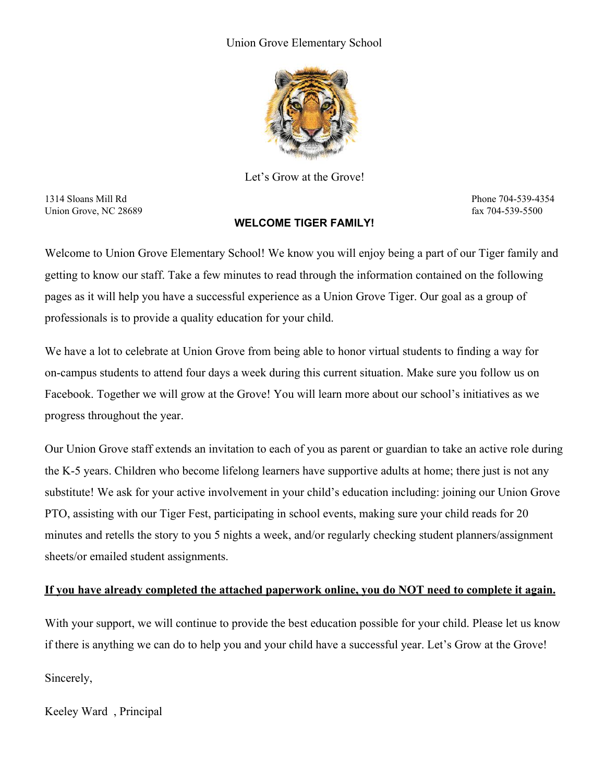#### Union Grove Elementary School



Let's Grow at the Grove!

1314 Sloans Mill Rd Phone 704-539-4354 Union Grove, NC 28689 fax 704-539-5500 fax 704-539-5500

#### **WELCOME TIGER FAMILY!**

Welcome to Union Grove Elementary School! We know you will enjoy being a part of our Tiger family and getting to know our staff. Take a few minutes to read through the information contained on the following pages as it will help you have a successful experience as a Union Grove Tiger. Our goal as a group of professionals is to provide a quality education for your child.

We have a lot to celebrate at Union Grove from being able to honor virtual students to finding a way for on-campus students to attend four days a week during this current situation. Make sure you follow us on Facebook. Together we will grow at the Grove! You will learn more about our school's initiatives as we progress throughout the year.

Our Union Grove staff extends an invitation to each of you as parent or guardian to take an active role during the K-5 years. Children who become lifelong learners have supportive adults at home; there just is not any substitute! We ask for your active involvement in your child's education including: joining our Union Grove PTO, assisting with our Tiger Fest, participating in school events, making sure your child reads for 20 minutes and retells the story to you 5 nights a week, and/or regularly checking student planners/assignment sheets/or emailed student assignments.

#### **If you have already completed the attached paperwork online, you do NOT need to complete it again.**

With your support, we will continue to provide the best education possible for your child. Please let us know if there is anything we can do to help you and your child have a successful year. Let's Grow at the Grove!

Sincerely,

Keeley Ward , Principal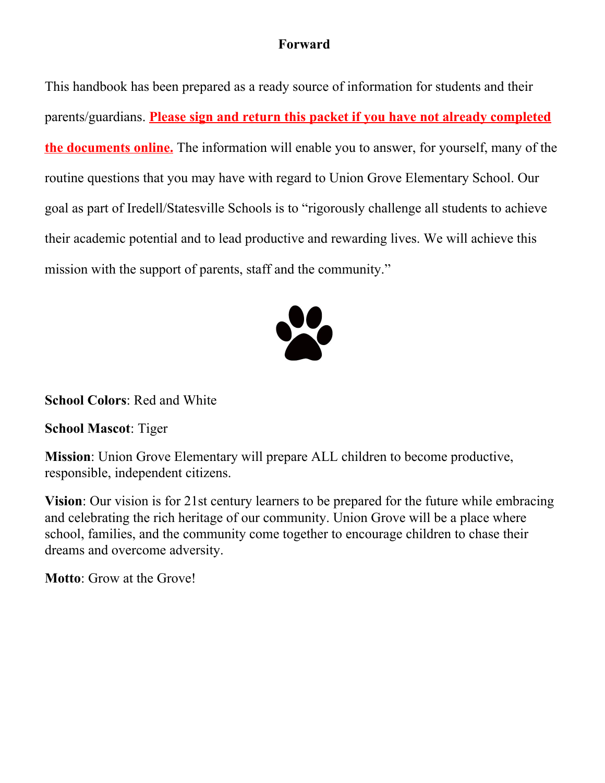## **Forward**

This handbook has been prepared as a ready source of information for students and their parents/guardians. **Please sign and return this packet if you have not already completed the documents online.** The information will enable you to answer, for yourself, many of the routine questions that you may have with regard to Union Grove Elementary School. Our goal as part of Iredell/Statesville Schools is to "rigorously challenge all students to achieve their academic potential and to lead productive and rewarding lives. We will achieve this mission with the support of parents, staff and the community."



**School Colors**: Red and White

**School Mascot**: Tiger

**Mission**: Union Grove Elementary will prepare ALL children to become productive, responsible, independent citizens.

**Vision**: Our vision is for 21st century learners to be prepared for the future while embracing and celebrating the rich heritage of our community. Union Grove will be a place where school, families, and the community come together to encourage children to chase their dreams and overcome adversity.

**Motto**: Grow at the Grove!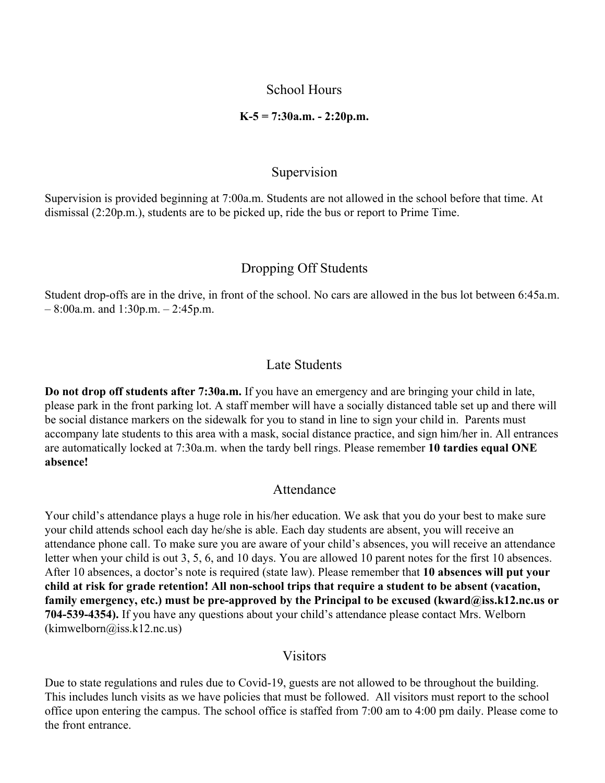#### School Hours

#### **K-5 = 7:30a.m. - 2:20p.m.**

#### Supervision

Supervision is provided beginning at 7:00a.m. Students are not allowed in the school before that time. At dismissal (2:20p.m.), students are to be picked up, ride the bus or report to Prime Time.

### Dropping Off Students

Student drop-offs are in the drive, in front of the school. No cars are allowed in the bus lot between 6:45a.m.  $-8:00$ a.m. and  $1:30$ p.m.  $-2:45$ p.m.

#### Late Students

**Do not drop off students after 7:30a.m.** If you have an emergency and are bringing your child in late, please park in the front parking lot. A staff member will have a socially distanced table set up and there will be social distance markers on the sidewalk for you to stand in line to sign your child in. Parents must accompany late students to this area with a mask, social distance practice, and sign him/her in. All entrances are automatically locked at 7:30a.m. when the tardy bell rings. Please remember **10 tardies equal ONE absence!**

#### Attendance

Your child's attendance plays a huge role in his/her education. We ask that you do your best to make sure your child attends school each day he/she is able. Each day students are absent, you will receive an attendance phone call. To make sure you are aware of your child's absences, you will receive an attendance letter when your child is out 3, 5, 6, and 10 days. You are allowed 10 parent notes for the first 10 absences. After 10 absences, a doctor's note is required (state law). Please remember that **10 absences will put your child at risk for grade retention! All non-school trips that require a student to be absent (vacation, family emergency, etc.) must be pre-approved by the Principal to be excused (kward@iss.k12.nc.us or 704-539-4354).** If you have any questions about your child's attendance please contact Mrs. Welborn  $(kimwelborn@iss.k12nc.us)$ 

#### **Visitors**

Due to state regulations and rules due to Covid-19, guests are not allowed to be throughout the building. This includes lunch visits as we have policies that must be followed. All visitors must report to the school office upon entering the campus. The school office is staffed from 7:00 am to 4:00 pm daily. Please come to the front entrance.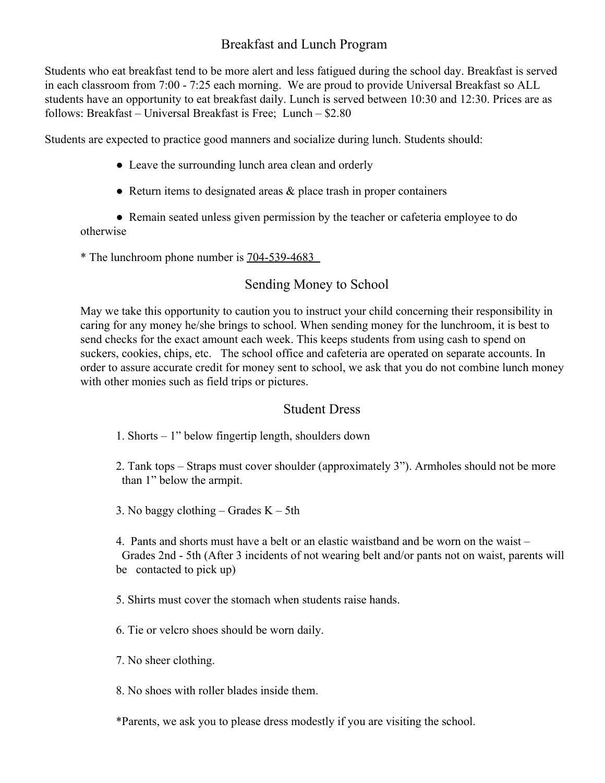## Breakfast and Lunch Program

Students who eat breakfast tend to be more alert and less fatigued during the school day. Breakfast is served in each classroom from 7:00 - 7:25 each morning. We are proud to provide Universal Breakfast so ALL students have an opportunity to eat breakfast daily. Lunch is served between 10:30 and 12:30. Prices are as follows: Breakfast – Universal Breakfast is Free; Lunch – \$2.80

Students are expected to practice good manners and socialize during lunch. Students should:

- Leave the surrounding lunch area clean and orderly
- $\bullet$  Return items to designated areas  $\&$  place trash in proper containers

● Remain seated unless given permission by the teacher or cafeteria employee to do otherwise

\* The lunchroom phone number is 704-539-4683

## Sending Money to School

May we take this opportunity to caution you to instruct your child concerning their responsibility in caring for any money he/she brings to school. When sending money for the lunchroom, it is best to send checks for the exact amount each week. This keeps students from using cash to spend on suckers, cookies, chips, etc. The school office and cafeteria are operated on separate accounts. In order to assure accurate credit for money sent to school, we ask that you do not combine lunch money with other monies such as field trips or pictures.

## Student Dress

- 1. Shorts 1" below fingertip length, shoulders down
- 2. Tank tops Straps must cover shoulder (approximately 3"). Armholes should not be more than 1" below the armpit.
- 3. No baggy clothing Grades  $K 5th$

4. Pants and shorts must have a belt or an elastic waistband and be worn on the waist – Grades 2nd - 5th (After 3 incidents of not wearing belt and/or pants not on waist, parents will be contacted to pick up)

5. Shirts must cover the stomach when students raise hands.

6. Tie or velcro shoes should be worn daily.

7. No sheer clothing.

8. No shoes with roller blades inside them.

\*Parents, we ask you to please dress modestly if you are visiting the school.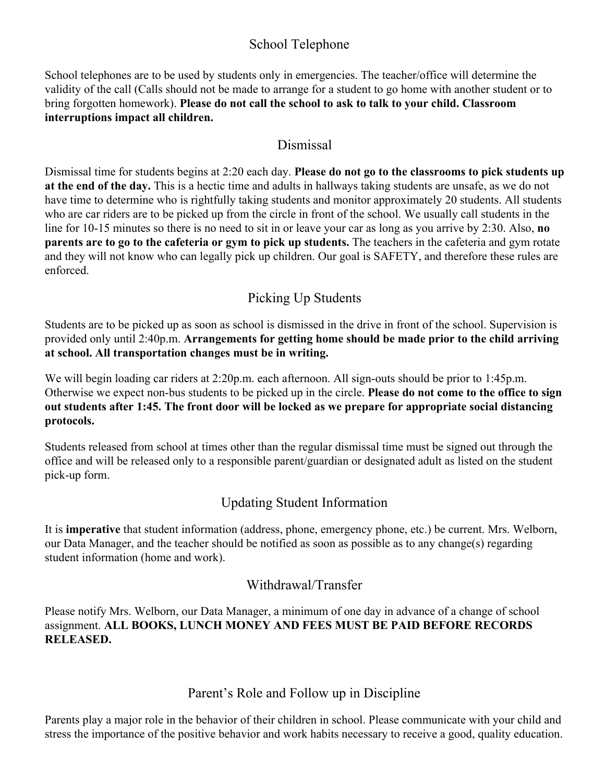## School Telephone

School telephones are to be used by students only in emergencies. The teacher/office will determine the validity of the call (Calls should not be made to arrange for a student to go home with another student or to bring forgotten homework). **Please do not call the school to ask to talk to your child. Classroom interruptions impact all children.**

## Dismissal

Dismissal time for students begins at 2:20 each day. **Please do not go to the classrooms to pick students up at the end of the day.** This is a hectic time and adults in hallways taking students are unsafe, as we do not have time to determine who is rightfully taking students and monitor approximately 20 students. All students who are car riders are to be picked up from the circle in front of the school. We usually call students in the line for 10-15 minutes so there is no need to sit in or leave your car as long as you arrive by 2:30. Also, **no parents are to go to the cafeteria or gym to pick up students.** The teachers in the cafeteria and gym rotate and they will not know who can legally pick up children. Our goal is SAFETY, and therefore these rules are enforced.

## Picking Up Students

Students are to be picked up as soon as school is dismissed in the drive in front of the school. Supervision is provided only until 2:40p.m. **Arrangements for getting home should be made prior to the child arriving at school. All transportation changes must be in writing.**

We will begin loading car riders at 2:20p.m. each afternoon. All sign-outs should be prior to 1:45p.m. Otherwise we expect non-bus students to be picked up in the circle. **Please do not come to the office to sign out students after 1:45. The front door will be locked as we prepare for appropriate social distancing protocols.**

Students released from school at times other than the regular dismissal time must be signed out through the office and will be released only to a responsible parent/guardian or designated adult as listed on the student pick-up form.

## Updating Student Information

It is **imperative** that student information (address, phone, emergency phone, etc.) be current. Mrs. Welborn, our Data Manager, and the teacher should be notified as soon as possible as to any change(s) regarding student information (home and work).

## Withdrawal/Transfer

Please notify Mrs. Welborn, our Data Manager, a minimum of one day in advance of a change of school assignment. **ALL BOOKS, LUNCH MONEY AND FEES MUST BE PAID BEFORE RECORDS RELEASED.**

## Parent's Role and Follow up in Discipline

Parents play a major role in the behavior of their children in school. Please communicate with your child and stress the importance of the positive behavior and work habits necessary to receive a good, quality education.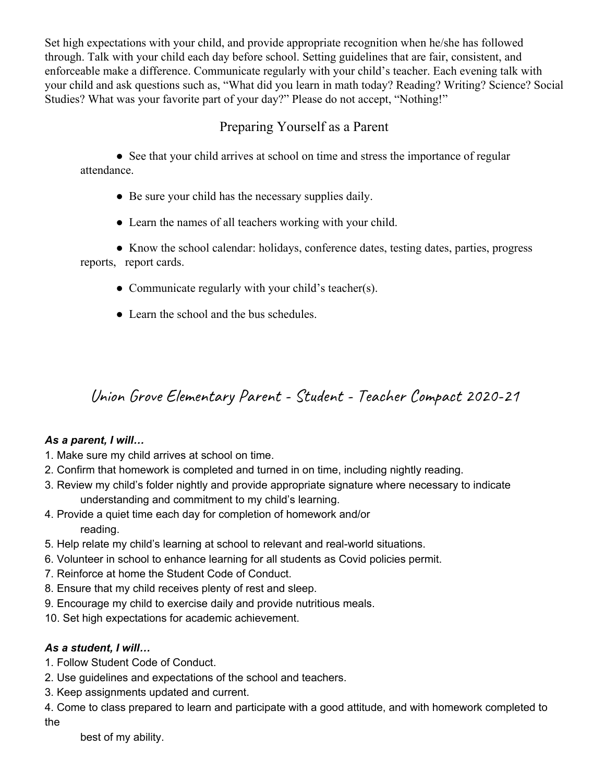Set high expectations with your child, and provide appropriate recognition when he/she has followed through. Talk with your child each day before school. Setting guidelines that are fair, consistent, and enforceable make a difference. Communicate regularly with your child's teacher. Each evening talk with your child and ask questions such as, "What did you learn in math today? Reading? Writing? Science? Social Studies? What was your favorite part of your day?" Please do not accept, "Nothing!"

## Preparing Yourself as a Parent

• See that your child arrives at school on time and stress the importance of regular attendance.

- Be sure your child has the necessary supplies daily.
- Learn the names of all teachers working with your child.

• Know the school calendar: holidays, conference dates, testing dates, parties, progress reports, report cards.

- Communicate regularly with your child's teacher(s).
- Learn the school and the bus schedules.

# Union Grove Elementary Parent - Student - Teacher Compact 2020-21

#### *As a parent, I will…*

- 1. Make sure my child arrives at school on time.
- 2. Confirm that homework is completed and turned in on time, including nightly reading.
- 3. Review my child's folder nightly and provide appropriate signature where necessary to indicate understanding and commitment to my child's learning.
- 4. Provide a quiet time each day for completion of homework and/or reading.
- 5. Help relate my child's learning at school to relevant and real-world situations.
- 6. Volunteer in school to enhance learning for all students as Covid policies permit.
- 7. Reinforce at home the Student Code of Conduct.
- 8. Ensure that my child receives plenty of rest and sleep.
- 9. Encourage my child to exercise daily and provide nutritious meals.
- 10. Set high expectations for academic achievement.

## *As a student, I will…*

- 1. Follow Student Code of Conduct.
- 2. Use guidelines and expectations of the school and teachers.
- 3. Keep assignments updated and current.

4. Come to class prepared to learn and participate with a good attitude, and with homework completed to the

best of my ability.